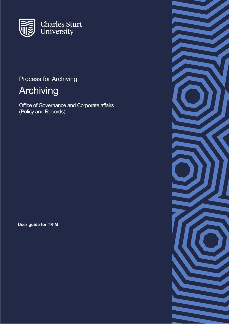

# Process for Archiving

# Archiving

Office of Governance and Corporate affairs (Policy and Records)

**User guide for TRIM**

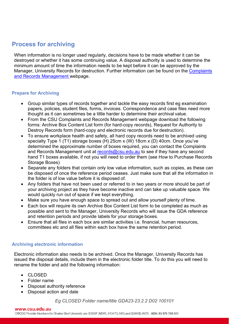# **Process for archiving**

When information is no longer used regularly, decisions have to be made whether it can be destroyed or whether it has some continuing value. A disposal authority is used to determine the minimum amount of time the information needs to be kept before it can be approved by the Manager, University Records for destruction. Further information can be found on the [Complaints](http://www.csu.edu.au/division/vcoffice/ogca/complaints-and-records/records-management) [and Records Management w](http://www.csu.edu.au/division/vcoffice/ogca/complaints-and-records/records-management)ebpage.

### **Prepare for Archiving**

- Group similar types of records together and tackle the easy records first eg examination papers, policies, student files, forms, invoices. Correspondence and case files need more thought as it can sometimes be a little harder to determine their archival value.
- From the CSU Complaints and Records Management webpage download the following forms: Archive Box Content List form (for hard-copy records), Request for Authority to Destroy Records form (hard-copy and electronic records due for destruction).
- To ensure workplace health and safety, all hard copy records need to be archived using specialty Type 1 (T1) storage boxes (H) 25cm x (W) 18cm x (D) 40cm. Once you've determined the approximate number of boxes required, you can contact the Complaints and Records Management unit at [records@csu.edu.au](mailto:records@csu.edu.au) to see if they have any second hand T1 boxes available, if not you will need to order them (see How to Purchase Records Storage Boxes)
- Separate any folders that contain only low value information, such as copies, as these can be disposed of once the reference period ceases. Just make sure that all the information in the folder is of low value before it is disposed of.
- Any folders that have not been used or referred to in two years or more should be part of your archiving project as they have become inactive and can take up valuable space. We would quickly run out of space if we kept everything.
- Make sure you have enough space to spread out and allow yourself plenty of time.
- Each box will require its own Archive Box Content List form to be completed as much as possible and sent to the Manager, University Records who will issue the GDA reference and retention periods and provide labels for your storage boxes.
- Ensure that all files in each box are similar activities i.e. financial, human resources, committees etc and all files within each box have the same retention period.

## **Archiving electronic information**

Electronic information also needs to be archived. Once the Manager, University Records has issued the disposal details, include them in the electronic folder title. To do this you will need to rename the folder and add the following information:

- CLOSED
- Folder name
- Disposal authority reference
- Disposal action and date

*Eg CLOSED Folder name/title GDA23-23.2.2 D02 100101*

#### www.csu.edu.au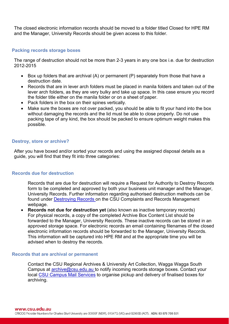The closed electronic information records should be moved to a folder titled Closed for HPE RM and the Manager, University Records should be given access to this folder.

#### **Packing records storage boxes**

The range of destruction should not be more than 2-3 years in any one box i.e. due for destruction 2012-2015

- Box up folders that are archival (A) or permanent (P) separately from those that have a destruction date.
- Records that are in lever arch folders must be placed in manila folders and taken out of the lever arch folders, as they are very bulky and take up space. In this case ensure you record the folder title either on the manila folder or on a sheet of paper.
- Pack folders in the box on their spines vertically.
- Make sure the boxes are not over packed, you should be able to fit your hand into the box without damaging the records and the lid must be able to close properly. Do not use packing tape of any kind, the box should be packed to ensure optimum weight makes this possible.

#### **Destroy, store or archive?**

After you have boxed and/or sorted your records and using the assigned disposal details as a guide, you will find that they fit into three categories:

#### **Records due for destruction**

Records that are due for destruction will require a Request for Authority to Destroy Records form to be completed and approved by both your business unit manager and the Manager, University Records. Further information regarding authorised destruction methods can be found under [Destroying Records o](http://www.csu.edu.au/division/vcoffice/ogca/complaints-and-records/records-management/archiving-and-destroying-records)n the CSU Complaints and Records Management webpage.

• **Records not due for destruction yet** (also known as inactive temporary records) For physical records, a copy of the completed Archive Box Content List should be forwarded to the Manager, University Records. These inactive records can be stored in an approved storage space. For electronic records an email containing filenames of the closed electronic information records should be forwarded to the Manager, University Records. This information will be captured into HPE RM and at the appropriate time you will be advised when to destroy the records.

#### **Records that are archival or permanent**

Contact the CSU Regional Archives & University Art Collection, Wagga Wagga South Campus at [archive@csu.edu.au t](mailto:archive@csu.edu.au)o notify incoming records storage boxes. Contact your local [CSU Campus Mail Services](http://finance.csu.edu.au/contacts?iframe=y) to organise pickup and delivery of finalised boxes for archiving.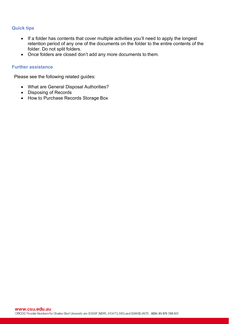## **Quick tips**

- If a folder has contents that cover multiple activities you'll need to apply the longest retention period of any one of the documents on the folder to the entire contents of the folder. Do not split folders.
- Once folders are closed don't add any more documents to them.

#### **Further assistance**

Please see the following related guides:

- What are General Disposal Authorities?
- Disposing of Records
- How to Purchase Records Storage Box